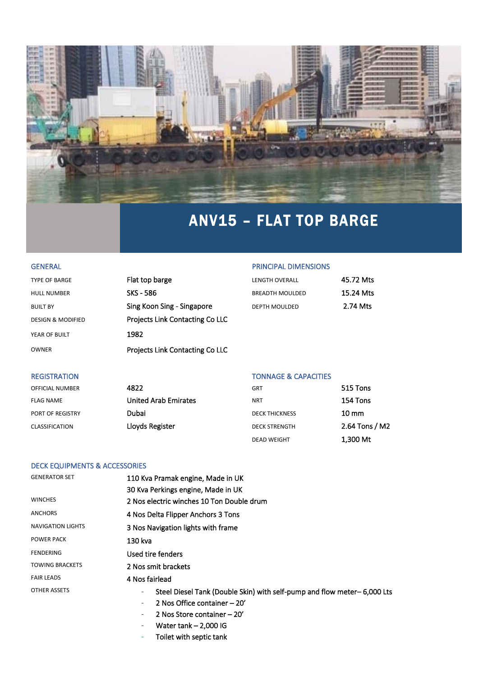

# ANV15 – FLAT TOP BARGE

| TYPE OF BARGE                | Flat top barge                         | <b>LENGTH OVERALL</b>  | 45.72 Mts |
|------------------------------|----------------------------------------|------------------------|-----------|
| <b>HULL NUMBER</b>           | SKS - 586                              | <b>BREADTH MOULDED</b> | 15.24 Mts |
| <b>BUILT BY</b>              | Sing Koon Sing - Singapore             | DEPTH MOULDED          | 2.74 Mts  |
| <b>DESIGN &amp; MODIFIED</b> | <b>Projects Link Contacting Co LLC</b> |                        |           |
| YEAR OF BUILT                | 1982                                   |                        |           |
| <b>OWNER</b>                 | Projects Link Contacting Co LLC        |                        |           |

#### GENERAL GENERAL PRINCIPAL DIMENSIONS

| LENGTH OVERALL  | 45.72 Mts |
|-----------------|-----------|
| BREADTH MOULDED | 15.24 Mts |
| DEPTH MOULDED   | 2.74 Mts  |

### REGISTRATION TONNAGE & CAPACITIES

| OFFICIAL NUMBER       | 4822                        | <b>GRT</b>            | 515 Tons        |
|-----------------------|-----------------------------|-----------------------|-----------------|
| <b>FLAG NAME</b>      | <b>United Arab Emirates</b> | <b>NRT</b>            | 154 Tons        |
| PORT OF REGISTRY      | Dubai                       | <b>DECK THICKNESS</b> | $10 \text{ mm}$ |
| <b>CLASSIFICATION</b> | Lloyds Register             | <b>DECK STRENGTH</b>  | 2.64 Tons / M2  |
|                       |                             | <b>DEAD WEIGHT</b>    | 1.300 Mt        |

#### DECK EQUIPMENTS & ACCESSORIES

| <b>GENERATOR SET</b>     | 110 Kva Pramak engine, Made in UK                                                                                                      |
|--------------------------|----------------------------------------------------------------------------------------------------------------------------------------|
|                          | 30 Kva Perkings engine, Made in UK                                                                                                     |
| <b>WINCHES</b>           | 2 Nos electric winches 10 Ton Double drum                                                                                              |
| <b>ANCHORS</b>           | 4 Nos Delta Flipper Anchors 3 Tons                                                                                                     |
| <b>NAVIGATION LIGHTS</b> | 3 Nos Navigation lights with frame                                                                                                     |
| <b>POWER PACK</b>        | 130 kva                                                                                                                                |
| <b>FENDERING</b>         | Used tire fenders                                                                                                                      |
| <b>TOWING BRACKETS</b>   | 2 Nos smit brackets                                                                                                                    |
| <b>FAIR LEADS</b>        | 4 Nos fairlead                                                                                                                         |
| <b>OTHER ASSETS</b>      | Steel Diesel Tank (Double Skin) with self-pump and flow meter–6,000 Lts<br>2 Nos Office container - 20'<br>2 Nos Store container - 20' |

- Water  $tank 2,000$  IG
- Toilet with septic tank